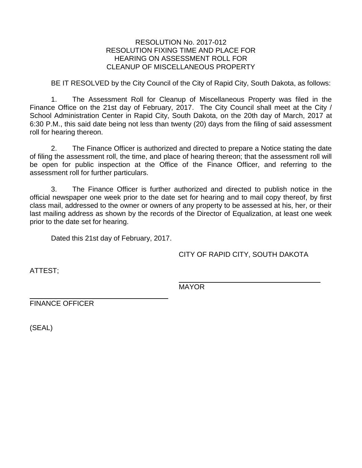## RESOLUTION No. 2017-012 RESOLUTION FIXING TIME AND PLACE FOR HEARING ON ASSESSMENT ROLL FOR CLEANUP OF MISCELLANEOUS PROPERTY

BE IT RESOLVED by the City Council of the City of Rapid City, South Dakota, as follows:

1. The Assessment Roll for Cleanup of Miscellaneous Property was filed in the Finance Office on the 21st day of February, 2017. The City Council shall meet at the City / School Administration Center in Rapid City, South Dakota, on the 20th day of March, 2017 at 6:30 P.M., this said date being not less than twenty (20) days from the filing of said assessment roll for hearing thereon.

2. The Finance Officer is authorized and directed to prepare a Notice stating the date of filing the assessment roll, the time, and place of hearing thereon; that the assessment roll will be open for public inspection at the Office of the Finance Officer, and referring to the assessment roll for further particulars.

3. The Finance Officer is further authorized and directed to publish notice in the official newspaper one week prior to the date set for hearing and to mail copy thereof, by first class mail, addressed to the owner or owners of any property to be assessed at his, her, or their last mailing address as shown by the records of the Director of Equalization, at least one week prior to the date set for hearing.

Dated this 21st day of February, 2017.

CITY OF RAPID CITY, SOUTH DAKOTA

ATTEST;

MAYOR

FINANCE OFFICER

(SEAL)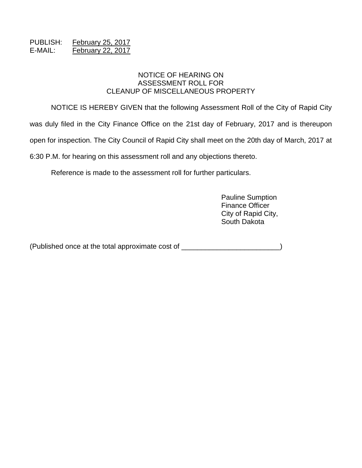## PUBLISH: February 25, 2017 E-MAIL: February 22, 2017

## NOTICE OF HEARING ON ASSESSMENT ROLL FOR CLEANUP OF MISCELLANEOUS PROPERTY

NOTICE IS HEREBY GIVEN that the following Assessment Roll of the City of Rapid City was duly filed in the City Finance Office on the 21st day of February, 2017 and is thereupon open for inspection. The City Council of Rapid City shall meet on the 20th day of March, 2017 at 6:30 P.M. for hearing on this assessment roll and any objections thereto.

Reference is made to the assessment roll for further particulars.

Pauline Sumption Finance Officer City of Rapid City, South Dakota

(Published once at the total approximate cost of \_\_\_\_\_\_\_\_\_\_\_\_\_\_\_\_\_\_\_\_\_\_\_\_\_)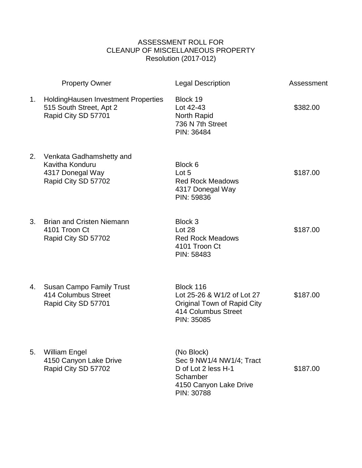## ASSESSMENT ROLL FOR CLEANUP OF MISCELLANEOUS PROPERTY Resolution (2017-012)

|    | <b>Property Owner</b>                                                                  | <b>Legal Description</b>                                                                                           | Assessment |
|----|----------------------------------------------------------------------------------------|--------------------------------------------------------------------------------------------------------------------|------------|
| 1. | Holding Hausen Investment Properties<br>515 South Street, Apt 2<br>Rapid City SD 57701 | Block 19<br>Lot 42-43<br>North Rapid<br>736 N 7th Street<br>PIN: 36484                                             | \$382.00   |
| 2. | Venkata Gadhamshetty and<br>Kavitha Konduru<br>4317 Donegal Way<br>Rapid City SD 57702 | Block 6<br>Lot 5<br><b>Red Rock Meadows</b><br>4317 Donegal Way<br>PIN: 59836                                      | \$187.00   |
| 3. | <b>Brian and Cristen Niemann</b><br>4101 Troon Ct<br>Rapid City SD 57702               | Block 3<br>Lot 28<br><b>Red Rock Meadows</b><br>4101 Troon Ct<br>PIN: 58483                                        | \$187.00   |
| 4. | <b>Susan Campo Family Trust</b><br>414 Columbus Street<br>Rapid City SD 57701          | Block 116<br>Lot 25-26 & W1/2 of Lot 27<br><b>Original Town of Rapid City</b><br>414 Columbus Street<br>PIN: 35085 | \$187.00   |
| 5. | <b>William Engel</b><br>4150 Canyon Lake Drive<br>Rapid City SD 57702                  | (No Block)<br>Sec 9 NW1/4 NW1/4; Tract<br>D of Lot 2 less H-1<br>Schamber<br>4150 Canyon Lake Drive<br>PIN: 30788  | \$187.00   |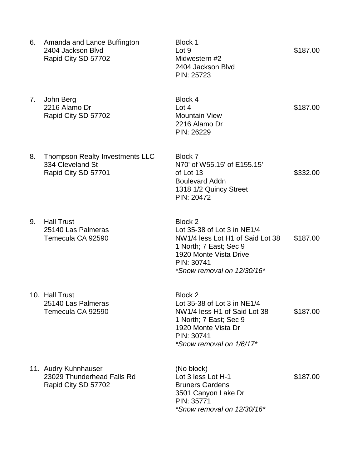| 6. | Amanda and Lance Buffington<br>2404 Jackson Blvd<br>Rapid City SD 57702    | Block 1<br>Lot 9<br>Midwestern #2<br>2404 Jackson Blvd<br>PIN: 25723                                                                                                       | \$187.00 |
|----|----------------------------------------------------------------------------|----------------------------------------------------------------------------------------------------------------------------------------------------------------------------|----------|
| 7. | John Berg<br>2216 Alamo Dr<br>Rapid City SD 57702                          | Block 4<br>Lot 4<br><b>Mountain View</b><br>2216 Alamo Dr<br>PIN: 26229                                                                                                    | \$187.00 |
| 8. | Thompson Realty Investments LLC<br>334 Cleveland St<br>Rapid City SD 57701 | Block 7<br>N70' of W55.15' of E155.15'<br>of Lot 13<br><b>Boulevard Addn</b><br>1318 1/2 Quincy Street<br>PIN: 20472                                                       | \$332.00 |
| 9. | <b>Hall Trust</b><br>25140 Las Palmeras<br>Temecula CA 92590               | Block 2<br>Lot 35-38 of Lot 3 in NE1/4<br>NW1/4 less Lot H1 of Said Lot 38<br>1 North; 7 East; Sec 9<br>1920 Monte Vista Drive<br>PIN: 30741<br>*Snow removal on 12/30/16* | \$187.00 |
|    | 10. Hall Trust<br>25140 Las Palmeras<br>Temecula CA 92590                  | Block 2<br>Lot 35-38 of Lot 3 in NE1/4<br>NW1/4 less H1 of Said Lot 38<br>1 North; 7 East; Sec 9<br>1920 Monte Vista Dr<br>PIN: 30741<br>*Snow removal on 1/6/17*          | \$187.00 |
|    | 11. Audry Kuhnhauser<br>23029 Thunderhead Falls Rd<br>Rapid City SD 57702  | (No block)<br>Lot 3 less Lot H-1<br><b>Bruners Gardens</b><br>3501 Canyon Lake Dr<br>PIN: 35771<br>*Snow removal on 12/30/16*                                              | \$187.00 |